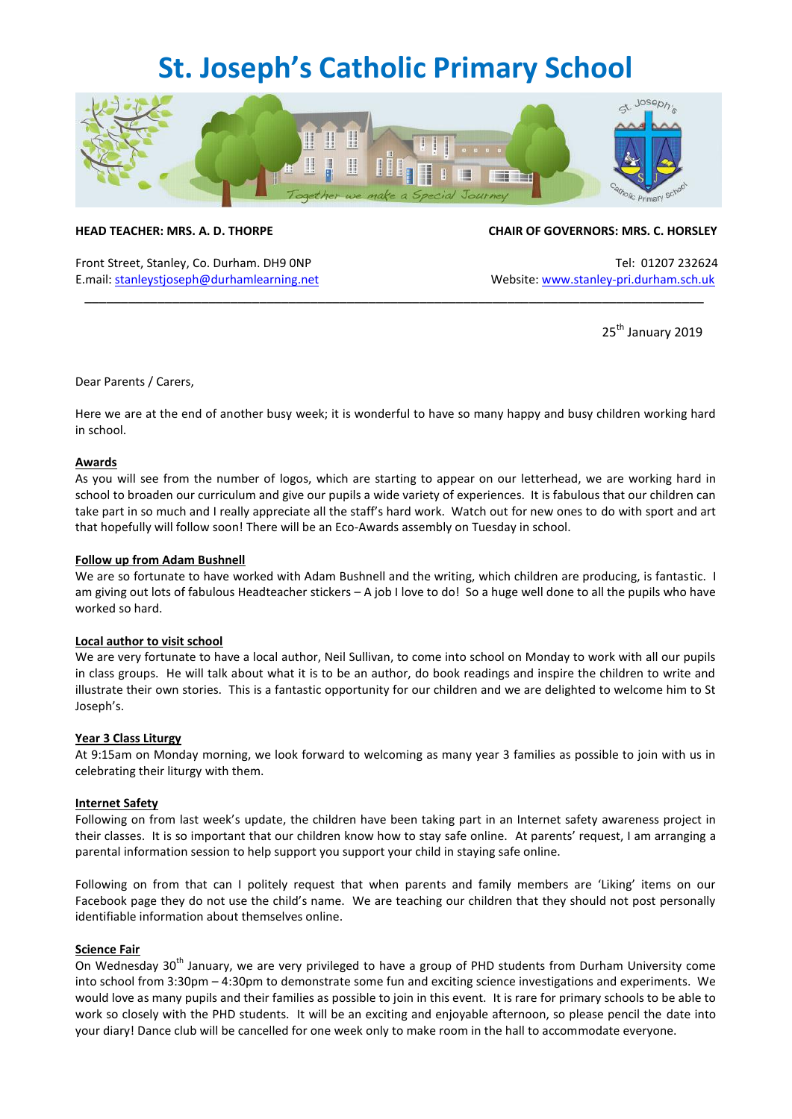## **St. Joseph's Catholic Primary School**



Front Street, Stanley, Co. Durham. DH9 ONP Tel: 01207 232624 E.mail[: stanleystjoseph@durhamlearning.net](mailto:stanleystjoseph@durhamlearning.net) Website[: www.stanley-pri.durham.sch.uk](http://www.stanley-pri.durham.sch.uk/)

#### **HEAD TEACHER: MRS. A. D. THORPE CHAIR OF GOVERNORS: MRS. C. HORSLEY**

25<sup>th</sup> January 2019

#### Dear Parents / Carers,

Here we are at the end of another busy week; it is wonderful to have so many happy and busy children working hard in school.

\_\_\_\_\_\_\_\_\_\_\_\_\_\_\_\_\_\_\_\_\_\_\_\_\_\_\_\_\_\_\_\_\_\_\_\_\_\_\_\_\_\_\_\_\_\_\_\_\_\_\_\_\_\_\_\_\_\_\_\_\_\_\_\_\_\_\_\_\_\_\_\_\_\_\_\_\_\_\_\_\_\_\_\_\_

#### **Awards**

As you will see from the number of logos, which are starting to appear on our letterhead, we are working hard in school to broaden our curriculum and give our pupils a wide variety of experiences. It is fabulous that our children can take part in so much and I really appreciate all the staff's hard work. Watch out for new ones to do with sport and art that hopefully will follow soon! There will be an Eco-Awards assembly on Tuesday in school.

#### **Follow up from Adam Bushnell**

We are so fortunate to have worked with Adam Bushnell and the writing, which children are producing, is fantastic. I am giving out lots of fabulous Headteacher stickers – A job I love to do! So a huge well done to all the pupils who have worked so hard.

#### **Local author to visit school**

We are very fortunate to have a local author, Neil Sullivan, to come into school on Monday to work with all our pupils in class groups. He will talk about what it is to be an author, do book readings and inspire the children to write and illustrate their own stories. This is a fantastic opportunity for our children and we are delighted to welcome him to St Joseph's.

#### **Year 3 Class Liturgy**

At 9:15am on Monday morning, we look forward to welcoming as many year 3 families as possible to join with us in celebrating their liturgy with them.

#### **Internet Safety**

Following on from last week's update, the children have been taking part in an Internet safety awareness project in their classes. It is so important that our children know how to stay safe online. At parents' request, I am arranging a parental information session to help support you support your child in staying safe online.

Following on from that can I politely request that when parents and family members are 'Liking' items on our Facebook page they do not use the child's name. We are teaching our children that they should not post personally identifiable information about themselves online.

#### **Science Fair**

On Wednesday 30<sup>th</sup> January, we are very privileged to have a group of PHD students from Durham University come into school from 3:30pm – 4:30pm to demonstrate some fun and exciting science investigations and experiments. We would love as many pupils and their families as possible to join in this event. It is rare for primary schools to be able to work so closely with the PHD students. It will be an exciting and enjoyable afternoon, so please pencil the date into your diary! Dance club will be cancelled for one week only to make room in the hall to accommodate everyone.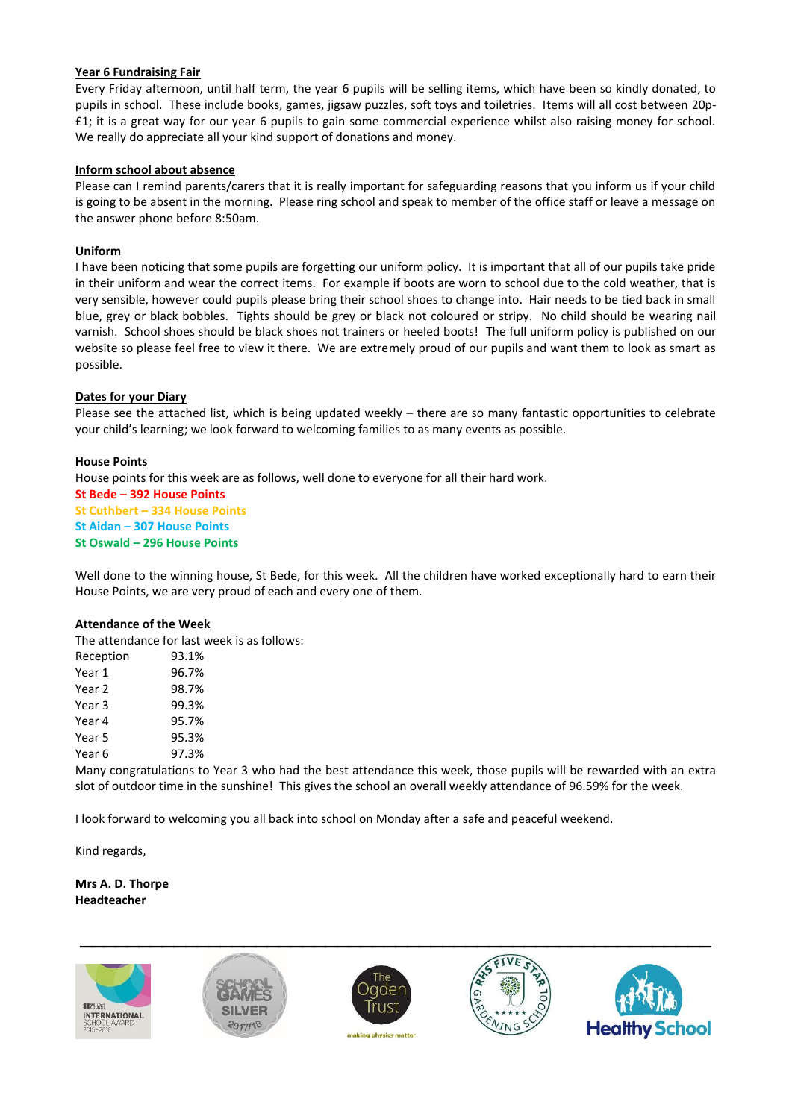#### **Year 6 Fundraising Fair**

Every Friday afternoon, until half term, the year 6 pupils will be selling items, which have been so kindly donated, to pupils in school. These include books, games, jigsaw puzzles, soft toys and toiletries. Items will all cost between 20p- £1; it is a great way for our year 6 pupils to gain some commercial experience whilst also raising money for school. We really do appreciate all your kind support of donations and money.

#### **Inform school about absence**

Please can I remind parents/carers that it is really important for safeguarding reasons that you inform us if your child is going to be absent in the morning. Please ring school and speak to member of the office staff or leave a message on the answer phone before 8:50am.

#### **Uniform**

I have been noticing that some pupils are forgetting our uniform policy. It is important that all of our pupils take pride in their uniform and wear the correct items. For example if boots are worn to school due to the cold weather, that is very sensible, however could pupils please bring their school shoes to change into. Hair needs to be tied back in small blue, grey or black bobbles. Tights should be grey or black not coloured or stripy. No child should be wearing nail varnish. School shoes should be black shoes not trainers or heeled boots! The full uniform policy is published on our website so please feel free to view it there. We are extremely proud of our pupils and want them to look as smart as possible.

#### **Dates for your Diary**

Please see the attached list, which is being updated weekly – there are so many fantastic opportunities to celebrate your child's learning; we look forward to welcoming families to as many events as possible.

#### **House Points**

House points for this week are as follows, well done to everyone for all their hard work.

**St Bede – 392 House Points St Cuthbert – 334 House Points St Aidan – 307 House Points**

**St Oswald – 296 House Points**

Well done to the winning house, St Bede, for this week. All the children have worked exceptionally hard to earn their House Points, we are very proud of each and every one of them.

#### **Attendance of the Week**

The attendance for last week is as follows:

| 93.1% |
|-------|
| 96.7% |
| 98.7% |
| 99.3% |
| 95.7% |
| 95.3% |
| 97.3% |
|       |

Many congratulations to Year 3 who had the best attendance this week, those pupils will be rewarded with an extra slot of outdoor time in the sunshine! This gives the school an overall weekly attendance of 96.59% for the week.

I look forward to welcoming you all back into school on Monday after a safe and peaceful weekend.

Kind regards,

### **Mrs A. D. Thorpe Headteacher**

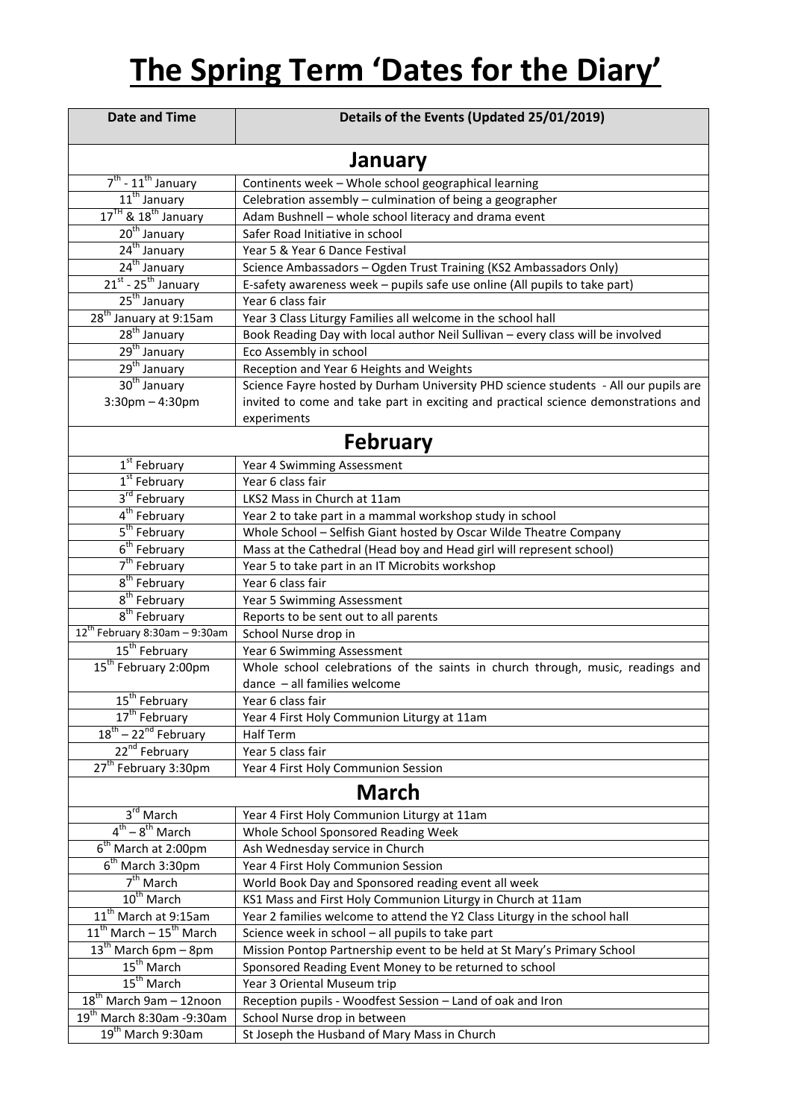# **The Spring Term 'Dates for the Diary'**

| <b>Date and Time</b>                                      | Details of the Events (Updated 25/01/2019)                                          |  |
|-----------------------------------------------------------|-------------------------------------------------------------------------------------|--|
| January                                                   |                                                                                     |  |
| $7^{\text{th}}$ - $11^{\text{th}}$ January                | Continents week - Whole school geographical learning                                |  |
| 11 <sup>th</sup> January                                  | Celebration assembly - culmination of being a geographer                            |  |
| $17^{\text{TH}}$ & $18^{\text{th}}$ January               | Adam Bushnell - whole school literacy and drama event                               |  |
| 20 <sup>th</sup> January                                  | Safer Road Initiative in school                                                     |  |
|                                                           | Year 5 & Year 6 Dance Festival                                                      |  |
| $\frac{24^{th} \text{ January}}{24^{th} \text{ January}}$ | Science Ambassadors - Ogden Trust Training (KS2 Ambassadors Only)                   |  |
| $21^{st}$ - 25 <sup>th</sup> January                      | E-safety awareness week - pupils safe use online (All pupils to take part)          |  |
| 25 <sup>th</sup> January                                  | Year 6 class fair                                                                   |  |
| 28 <sup>th</sup> January at 9:15am                        | Year 3 Class Liturgy Families all welcome in the school hall                        |  |
| 28 <sup>th</sup> January                                  | Book Reading Day with local author Neil Sullivan - every class will be involved     |  |
| 29 <sup>th</sup> January                                  | Eco Assembly in school                                                              |  |
| 29 <sup>th</sup> January                                  | Reception and Year 6 Heights and Weights                                            |  |
| 30 <sup>th</sup> January                                  | Science Fayre hosted by Durham University PHD science students - All our pupils are |  |
| $3:30$ pm $-4:30$ pm                                      | invited to come and take part in exciting and practical science demonstrations and  |  |
|                                                           | experiments                                                                         |  |
| <b>February</b>                                           |                                                                                     |  |
| 1 <sup>st</sup> February                                  | Year 4 Swimming Assessment                                                          |  |
| $1st$ February                                            | Year 6 class fair                                                                   |  |
| $3rd$ February                                            | LKS2 Mass in Church at 11am                                                         |  |
| 4 <sup>th</sup> February                                  | Year 2 to take part in a mammal workshop study in school                            |  |
| 5 <sup>th</sup> February                                  | Whole School - Selfish Giant hosted by Oscar Wilde Theatre Company                  |  |
| $6th$ February                                            | Mass at the Cathedral (Head boy and Head girl will represent school)                |  |
| $7th$ February                                            | Year 5 to take part in an IT Microbits workshop                                     |  |
| $8th$ February                                            | Year 6 class fair                                                                   |  |
| $8th$ February                                            | Year 5 Swimming Assessment                                                          |  |
| $8th$ February                                            | Reports to be sent out to all parents                                               |  |
| $12^{th}$ February 8:30am - 9:30am                        | School Nurse drop in                                                                |  |
| 15 <sup>th</sup> February                                 | Year 6 Swimming Assessment                                                          |  |
| 15 <sup>th</sup> February 2:00pm                          | Whole school celebrations of the saints in church through, music, readings and      |  |
|                                                           | dance - all families welcome                                                        |  |
| 15 <sup>th</sup> February                                 | Year 6 class fair                                                                   |  |
| 17 <sup>th</sup> February                                 | Year 4 First Holy Communion Liturgy at 11am                                         |  |
| 18 <sup>th</sup> – 22 <sup>nd</sup> February              | Half Term                                                                           |  |
| 22 <sup>nd</sup> February                                 | Year 5 class fair                                                                   |  |
| 27 <sup>th</sup> February 3:30pm                          | Year 4 First Holy Communion Session                                                 |  |
| <b>March</b>                                              |                                                                                     |  |
| $3rd$ March                                               | Year 4 First Holy Communion Liturgy at 11am                                         |  |
| $4^{th} - 8^{th}$ March                                   | Whole School Sponsored Reading Week                                                 |  |
| $6th$ March at 2:00pm                                     | Ash Wednesday service in Church                                                     |  |
| $6th$ March 3:30pm                                        | Year 4 First Holy Communion Session                                                 |  |
| $7th$ March                                               | World Book Day and Sponsored reading event all week                                 |  |
| 10 <sup>th</sup> March                                    | KS1 Mass and First Holy Communion Liturgy in Church at 11am                         |  |
| 11 <sup>th</sup> March at 9:15am                          | Year 2 families welcome to attend the Y2 Class Liturgy in the school hall           |  |
| $11th$ March - $15th$ March                               | Science week in school - all pupils to take part                                    |  |
| $13th$ March 6pm – 8pm                                    | Mission Pontop Partnership event to be held at St Mary's Primary School             |  |
| $15^{\text{th}}$ March                                    | Sponsored Reading Event Money to be returned to school                              |  |
| $15th$ March                                              | Year 3 Oriental Museum trip                                                         |  |
| $18^{th}$ March 9am - 12noon                              | Reception pupils - Woodfest Session - Land of oak and Iron                          |  |
| 19 <sup>th</sup> March 8:30am -9:30am                     | School Nurse drop in between                                                        |  |
| 19 <sup>th</sup> March 9:30am                             | St Joseph the Husband of Mary Mass in Church                                        |  |